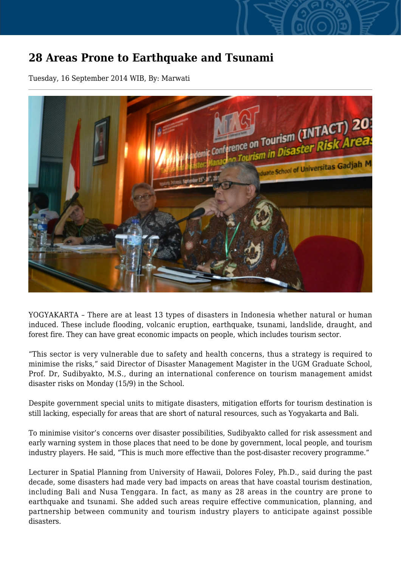## **28 Areas Prone to Earthquake and Tsunami**

Tuesday, 16 September 2014 WIB, By: Marwati



YOGYAKARTA – There are at least 13 types of disasters in Indonesia whether natural or human induced. These include flooding, volcanic eruption, earthquake, tsunami, landslide, draught, and forest fire. They can have great economic impacts on people, which includes tourism sector.

"This sector is very vulnerable due to safety and health concerns, thus a strategy is required to minimise the risks," said Director of Disaster Management Magister in the UGM Graduate School, Prof. Dr, Sudibyakto, M.S., during an international conference on tourism management amidst disaster risks on Monday (15/9) in the School.

Despite government special units to mitigate disasters, mitigation efforts for tourism destination is still lacking, especially for areas that are short of natural resources, such as Yogyakarta and Bali.

To minimise visitor's concerns over disaster possibilities, Sudibyakto called for risk assessment and early warning system in those places that need to be done by government, local people, and tourism industry players. He said, "This is much more effective than the post-disaster recovery programme."

Lecturer in Spatial Planning from University of Hawaii, Dolores Foley, Ph.D., said during the past decade, some disasters had made very bad impacts on areas that have coastal tourism destination, including Bali and Nusa Tenggara. In fact, as many as 28 areas in the country are prone to earthquake and tsunami. She added such areas require effective communication, planning, and partnership between community and tourism industry players to anticipate against possible disasters.